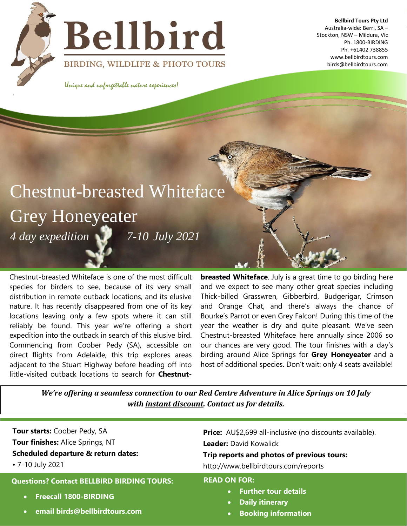



**Bellbird Tours Pty Ltd**  Australia-wide: Berri, SA – Stockton, NSW – Mildura, Vic Ph. 1800-BIRDING Ph. +61402 738855 www.bellbirdtours.com birds@bellbirdtours.com

BIRDING, WILDLIFE & PHOTO TOURS

Unique and unforgettable nature experiences!

# Chestnut-breasted Whiteface Grey Honeyeater *4 day expedition 7-10 July 2021*

Chestnut-breasted Whiteface is one of the most difficult species for birders to see, because of its very small distribution in remote outback locations, and its elusive nature. It has recently disappeared from one of its key locations leaving only a few spots where it can still reliably be found. This year we're offering a short expedition into the outback in search of this elusive bird. Commencing from Coober Pedy (SA), accessible on direct flights from Adelaide, this trip explores areas adjacent to the Stuart Highway before heading off into little-visited outback locations to search for **Chestnut-** **breasted Whiteface**. July is a great time to go birding here and we expect to see many other great species including Thick-billed Grasswren, Gibberbird, Budgerigar, Crimson and Orange Chat, and there's always the chance of Bourke's Parrot or even Grey Falcon! During this time of the year the weather is dry and quite pleasant. We've seen Chestnut-breasted Whiteface here annually since 2006 so our chances are very good. The tour finishes with a day's birding around Alice Springs for **Grey Honeyeater** and a host of additional species. Don't wait: only 4 seats available!

*We're offering a seamless connection to our Red Centre Adventure in Alice Springs on 10 July with instant discount. Contact us for details.*

| <b>Tour starts: Coober Pedy, SA</b>                                                                                                          | <b>Price:</b> AU\$2,699 all-inclusive (no discounts available).                                                                      |  |
|----------------------------------------------------------------------------------------------------------------------------------------------|--------------------------------------------------------------------------------------------------------------------------------------|--|
| Tour finishes: Alice Springs, NT                                                                                                             | <b>Leader: David Kowalick</b>                                                                                                        |  |
| <b>Scheduled departure &amp; return dates:</b>                                                                                               | Trip reports and photos of previous tours:                                                                                           |  |
| • 7-10 July 2021                                                                                                                             | http://www.bellbirdtours.com/reports                                                                                                 |  |
| <b>Questions? Contact BELLBIRD BIRDING TOURS:</b><br><b>Freecall 1800-BIRDING</b><br>$\bullet$<br>email birds@bellbirdtours.com<br>$\bullet$ | <b>READ ON FOR:</b><br><b>Further tour details</b><br><b>Daily itinerary</b><br>$\bullet$<br><b>Booking information</b><br>$\bullet$ |  |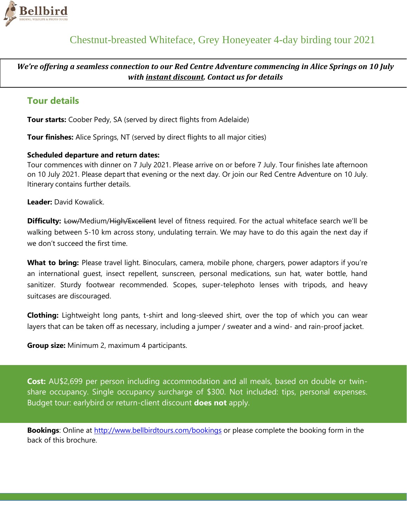

*We're offering a seamless connection to our Red Centre Adventure commencing in Alice Springs on 10 July with instant discount. Contact us for details*

## **Tour details**

**Tour starts:** Coober Pedy, SA (served by direct flights from Adelaide)

**Tour finishes:** Alice Springs, NT (served by direct flights to all major cities)

### **Scheduled departure and return dates:**

Tour commences with dinner on 7 July 2021. Please arrive on or before 7 July. Tour finishes late afternoon on 10 July 2021. Please depart that evening or the next day. Or join our Red Centre Adventure on 10 July. Itinerary contains further details.

**Leader:** David Kowalick.

**Difficulty:** Low/Medium/High/Excellent level of fitness required. For the actual whiteface search we'll be walking between 5-10 km across stony, undulating terrain. We may have to do this again the next day if we don't succeed the first time.

What to bring: Please travel light. Binoculars, camera, mobile phone, chargers, power adaptors if you're an international guest, insect repellent, sunscreen, personal medications, sun hat, water bottle, hand sanitizer. Sturdy footwear recommended. Scopes, super-telephoto lenses with tripods, and heavy suitcases are discouraged.

**Clothing:** Lightweight long pants, t-shirt and long-sleeved shirt, over the top of which you can wear layers that can be taken off as necessary, including a jumper / sweater and a wind- and rain-proof jacket.

**Group size:** Minimum 2, maximum 4 participants.

**Cost:** AU\$2,699 per person including accommodation and all meals, based on double or twinshare occupancy. Single occupancy surcharge of \$300. Not included: tips, personal expenses. Budget tour: earlybird or return-client discount **does not** apply.

**Bookings**: Online at<http://www.bellbirdtours.com/bookings> or please complete the booking form in the back of this brochure.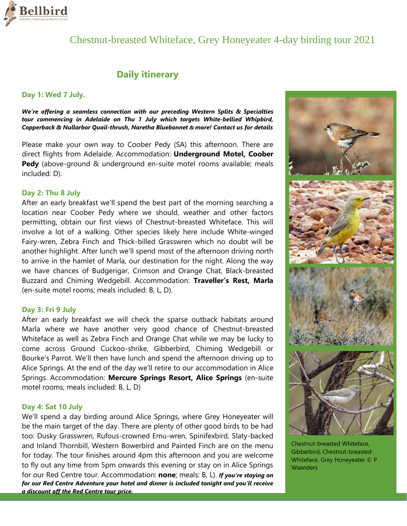

# Chestnut-breasted Whiteface, Grey Honeyeater 4-day birding tour 2021

## **Daily itinerary**

### **Day 1: Wed 7 July.**

*We're offering a seamless connection with our preceding Western Splits & Specialties tour commencing in Adelaide on Thu 1 July which targets White-bellied Whipbird, Copperback & Nullarbor Quail-thrush, Naretha Bluebonnet & more! Contact us for details*

Please make your own way to Coober Pedy (SA) this afternoon. There are direct flights from Adelaide. Accommodation: **Underground Motel, Coober Pedy** (above-ground & underground en-suite motel rooms available; meals included: D).

### **Day 2: Thu 8 July**

After an early breakfast we'll spend the best part of the morning searching a location near Coober Pedy where we should, weather and other factors permitting, obtain our first views of Chestnut-breasted Whiteface. This will involve a lot of a walking. Other species likely here include White-winged Fairy-wren, Zebra Finch and Thick-billed Grasswren which no doubt will be another highlight. After lunch we'll spend most of the afternoon driving north to arrive in the hamlet of Marla, our destination for the night. Along the way we have chances of Budgerigar, Crimson and Orange Chat, Black-breasted Buzzard and Chiming Wedgebill. Accommodation: **Traveller's Rest, Marla** (en-suite motel rooms; meals included: B, L, D).

#### **Day 3: Fri 9 July**

After an early breakfast we will check the sparse outback habitats around Marla where we have another very good chance of Chestnut-breasted Whiteface as well as Zebra Finch and Orange Chat while we may be lucky to come across Ground Cuckoo-shrike, Gibberbird, Chiming Wedgebill or Bourke's Parrot. We'll then have lunch and spend the afternoon driving up to Alice Springs. At the end of the day we'll retire to our accommodation in Alice Springs. Accommodation: **Mercure Springs Resort, Alice Springs** (en-suite motel rooms; meals included: B, L, D)

### **Day 4: Sat 10 July**

We'll spend a day birding around Alice Springs, where Grey Honeyeater will be the main target of the day. There are plenty of other good birds to be had too: Dusky Grasswren, Rufous-crowned Emu-wren, Spinifexbird, Slaty-backed and Inland Thornbill, Western Bowerbird and Painted Finch are on the menu for today. The tour finishes around 4pm this afternoon and you are welcome to fly out any time from 5pm onwards this evening or stay on in Alice Springs for our Red Centre tour. Accommodation: **none**; meals: B, L). *If you're staying on for our Red Centre Adventure your hotel and dinner is included tonight and you'll receive a discount off the Red Centre tour price.* 



Chestnut-breasted Whiteface, Gibberbird, Chestnut-breasted Whiteface, Grey Honeyeater © P **Waanders**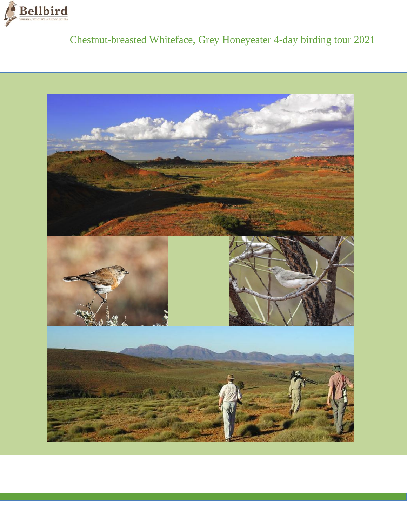

# Chestnut-breasted Whiteface, Grey Honeyeater 4-day birding tour 2021

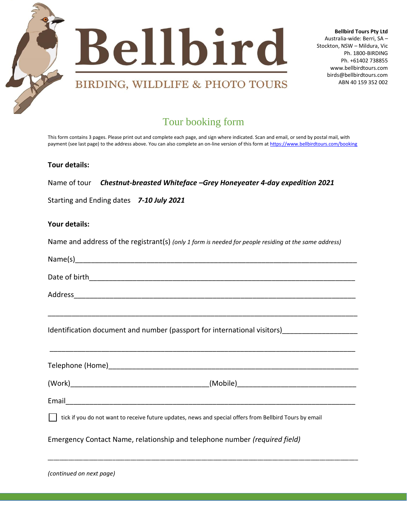

**Bellbird Tours Pty Ltd**  Australia-wide: Berri, SA – Stockton, NSW – Mildura, Vic Ph. 1800-BIRDING Ph. +61402 738855 www.bellbirdtours.com birds@bellbirdtours.com ABN 40 159 352 002

# Tour booking form

This form contains 3 pages. Please print out and complete each page, and sign where indicated. Scan and email, or send by postal mail, with payment (see last page) to the address above. You can also complete an on-line version of this form a[t https://www.bellbirdtours.com/booking](https://www.bellbirdtours.com/booking)

### **Tour details:**

Name of tour *Chestnut-breasted Whiteface –Grey Honeyeater 4-day expedition 2021*

Starting and Ending dates *7-10 July 2021*

### **Your details:**

Name and address of the registrant(s) *(only 1 form is needed for people residing at the same address)* 

| N. |
|----|
|----|

| Date of birth |  |
|---------------|--|
|               |  |

\_\_\_\_\_\_\_\_\_\_\_\_\_\_\_\_\_\_\_\_\_\_\_\_\_\_\_\_\_\_\_\_\_\_\_\_\_\_\_\_\_\_\_\_\_\_\_\_\_\_\_\_\_\_\_\_\_\_\_\_\_\_\_\_\_\_\_\_\_\_\_\_\_\_\_\_\_\_

Address\_\_\_\_\_\_\_\_\_\_\_\_\_\_\_\_\_\_\_\_\_\_\_\_\_\_\_\_\_\_\_\_\_\_\_\_\_\_\_\_\_\_\_\_\_\_\_\_\_\_\_\_\_\_\_\_\_\_\_\_\_\_\_\_\_\_\_\_\_\_\_

Identification document and number (passport for international visitors)

Telephone (Home)

\_\_\_\_\_\_\_\_\_\_\_\_\_\_\_\_\_\_\_\_\_\_\_\_\_\_\_\_\_\_\_\_\_\_\_\_\_\_\_\_\_\_\_\_\_\_\_\_\_\_\_\_\_\_\_\_\_\_\_\_\_\_\_\_\_\_\_\_\_\_\_\_\_\_\_\_\_\_\_\_\_\_\_\_\_\_\_\_\_\_\_\_\_\_\_\_\_\_\_\_\_\_\_\_\_

\_\_\_\_\_\_\_\_\_\_\_\_\_\_\_\_\_\_\_\_\_\_\_\_\_\_\_\_\_\_\_\_\_\_\_\_\_\_\_\_\_\_\_\_\_\_\_\_\_\_\_\_\_\_\_\_\_\_\_\_\_\_\_\_\_\_\_\_\_\_\_\_\_\_\_\_\_

 $(Work)$   $(Wok)$ 

Email\_\_\_\_\_\_\_\_\_\_\_\_\_\_\_\_\_\_\_\_\_\_\_\_\_\_\_\_\_\_\_\_\_\_\_\_\_\_\_\_\_\_\_\_\_\_\_\_\_\_\_\_\_\_\_\_\_\_\_\_\_\_\_\_\_\_\_\_\_\_\_\_\_

tick if you do not want to receive future updates, news and special offers from Bellbird Tours by email

Emergency Contact Name, relationship and telephone number *(required field)*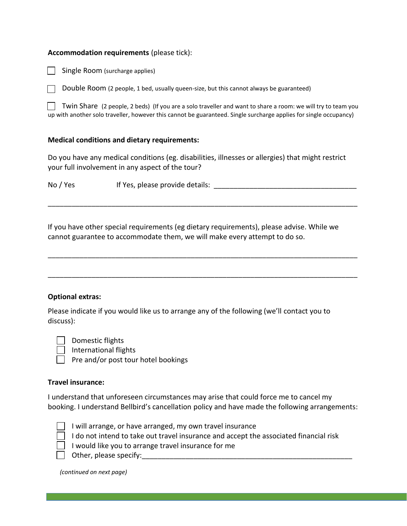### **Accommodation requirements** (please tick):

Single Room (surcharge applies)

Double Room (2 people, 1 bed, usually queen-size, but this cannot always be guaranteed)

Twin Share (2 people, 2 beds) (If you are a solo traveller and want to share a room: we will try to team you up with another solo traveller, however this cannot be guaranteed. Single surcharge applies for single occupancy)

### **Medical conditions and dietary requirements:**

Do you have any medical conditions (eg. disabilities, illnesses or allergies) that might restrict your full involvement in any aspect of the tour?

No / Yes If Yes, please provide details: <u>\_\_\_\_\_\_\_\_\_\_\_\_\_\_\_\_\_\_\_\_\_\_\_\_\_\_\_\_\_\_\_\_</u>

\_\_\_\_\_\_\_\_\_\_\_\_\_\_\_\_\_\_\_\_\_\_\_\_\_\_\_\_\_\_\_\_\_\_\_\_\_\_\_\_\_\_\_\_\_\_\_\_\_\_\_\_\_\_\_\_\_\_\_\_\_\_\_\_\_\_\_\_\_\_\_\_\_\_\_\_\_\_

\_\_\_\_\_\_\_\_\_\_\_\_\_\_\_\_\_\_\_\_\_\_\_\_\_\_\_\_\_\_\_\_\_\_\_\_\_\_\_\_\_\_\_\_\_\_\_\_\_\_\_\_\_\_\_\_\_\_\_\_\_\_\_\_\_\_\_\_\_\_\_\_\_\_\_\_\_\_

\_\_\_\_\_\_\_\_\_\_\_\_\_\_\_\_\_\_\_\_\_\_\_\_\_\_\_\_\_\_\_\_\_\_\_\_\_\_\_\_\_\_\_\_\_\_\_\_\_\_\_\_\_\_\_\_\_\_\_\_\_\_\_\_\_\_\_\_\_\_\_\_\_\_\_\_\_\_

If you have other special requirements (eg dietary requirements), please advise. While we cannot guarantee to accommodate them, we will make every attempt to do so.

**Optional extras:**

Please indicate if you would like us to arrange any of the following (we'll contact you to discuss):

Domestic flights

International flights

 $\Box$  Pre and/or post tour hotel bookings

### **Travel insurance:**

I understand that unforeseen circumstances may arise that could force me to cancel my booking. I understand Bellbird's cancellation policy and have made the following arrangements:



- $\Box$  I will arrange, or have arranged, my own travel insurance
- $\Box$  I do not intend to take out travel insurance and accept the associated financial risk
- $\Box$  I would like you to arrange travel insurance for me

 $\Box$  Other, please specify:

*(continued on next page)*